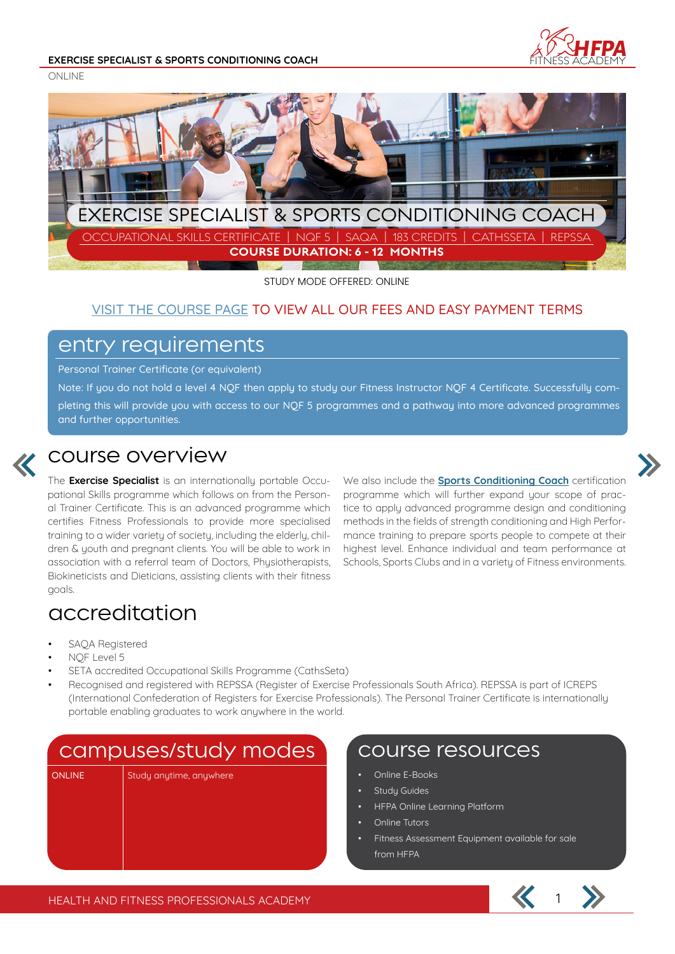

ONLINE



STUDY MODE OFFERED: ONLINE

#### VISIT THE COURSE PAGE TO VIEW ALL OUR FEES AND EASY PAYMENT TERMS

#### entry requirements

Personal Trainer Certificate (or equivalent)

Note: If you do not hold a level 4 NQF then apply to study our Fitness Instructor NQF 4 Certificate. Successfully completing this will provide you with access to our NQF 5 programmes and a pathway into more advanced programmes and further opportunities.



#### course overview

The **Exercise Specialist** is an internationally portable Occupational Skills programme which follows on from the Personal Trainer Certificate. This is an advanced programme which certifies Fitness Professionals to provide more specialised training to a wider variety of society, including the elderly, children & youth and pregnant clients. You will be able to work in association with a referral team of Doctors, Physiotherapists, Biokineticists and Dieticians, assisting clients with their fitness goals.

We also include the **Sports Conditioning Coach** certification programme which will further expand your scope of practice to apply advanced programme design and conditioning methods in the fields of strength conditioning and High Performance training to prepare sports people to compete at their highest level. Enhance individual and team performance at Schools, Sports Clubs and in a variety of Fitness environments.

## accreditation

- SAQA Registered
- NQF Level 5
- SETA accredited Occupational Skills Programme (CathsSeta)
- Recognised and registered with REPSSA (Register of Exercise Professionals South Africa). REPSSA is part of ICREPS (International Confederation of Registers for Exercise Professionals). The Personal Trainer Certificate is internationally portable enabling graduates to work anywhere in the world.

### campuses/study modes | course resources

ONLINE Study anytime, anywhere

- Online E-Books
- Study Guides
- HFPA Online Learning Platform
- Online Tutors
- Fitness Assessment Equipment available for sale from HFPA

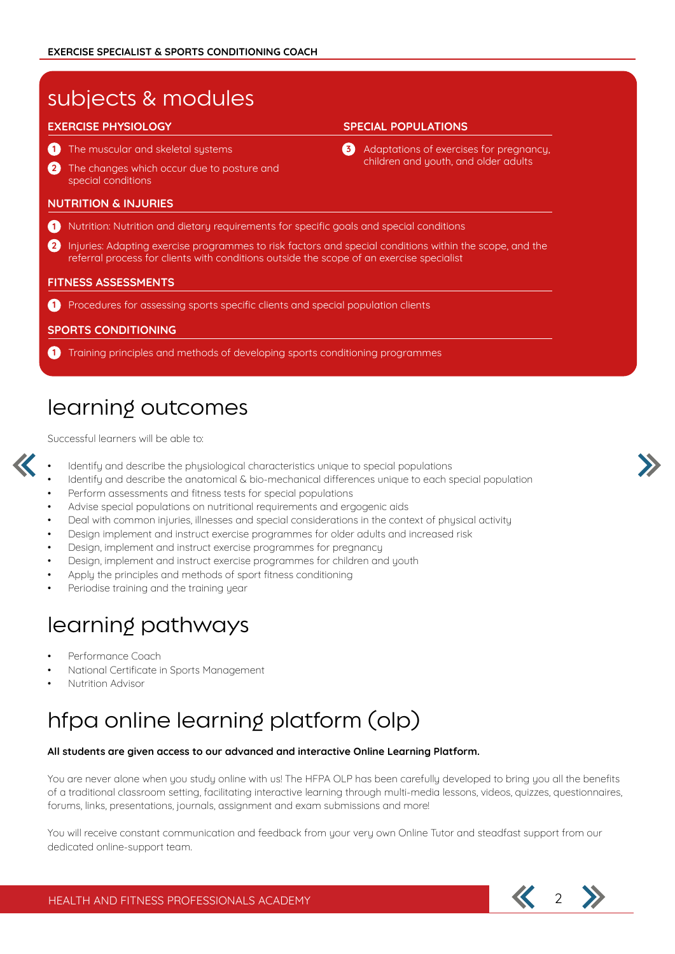| subjects & modules                                                                                                                                                                                       |                                                                                       |
|----------------------------------------------------------------------------------------------------------------------------------------------------------------------------------------------------------|---------------------------------------------------------------------------------------|
| <b>EXERCISE PHYSIOLOGY</b>                                                                                                                                                                               | <b>SPECIAL POPULATIONS</b>                                                            |
| The muscular and skeletal systems                                                                                                                                                                        | Adaptations of exercises for pregnancy,<br>63<br>children and youth, and older adults |
| $\left( 2\right)$<br>The changes which occur due to posture and<br>special conditions                                                                                                                    |                                                                                       |
| <b>NUTRITION &amp; INJURIES</b>                                                                                                                                                                          |                                                                                       |
| Nutrition: Nutrition and dietary requirements for specific goals and special conditions                                                                                                                  |                                                                                       |
| Injuries: Adapting exercise programmes to risk factors and special conditions within the scope, and the<br>2<br>referral process for clients with conditions outside the scope of an exercise specialist |                                                                                       |
| <b>FITNESS ASSESSMENTS</b>                                                                                                                                                                               |                                                                                       |
| Procedures for assessing sports specific clients and special population clients                                                                                                                          |                                                                                       |
| <b>SPORTS CONDITIONING</b>                                                                                                                                                                               |                                                                                       |
| Training principles and methods of developing sports conditioning programmes                                                                                                                             |                                                                                       |

# learning outcomes

Successful learners will be able to:

- Identify and describe the physiological characteristics unique to special populations
- Identify and describe the anatomical & bio-mechanical differences unique to each special population
- Perform assessments and fitness tests for special populations
- Advise special populations on nutritional requirements and ergogenic aids
- Deal with common injuries, illnesses and special considerations in the context of physical activity
- Design implement and instruct exercise programmes for older adults and increased risk
- Design, implement and instruct exercise programmes for pregnancy
- Design, implement and instruct exercise programmes for children and youth
- Apply the principles and methods of sport fitness conditioning
- Periodise training and the training year

## learning pathways

- Performance Coach
- National Certificate in Sports Management
- Nutrition Advisor

# hfpa online learning platform (olp)

#### **All students are given access to our advanced and interactive Online Learning Platform.**

You are never alone when you study online with us! The HFPA OLP has been carefully developed to bring you all the benefits of a traditional classroom setting, facilitating interactive learning through multi-media lessons, videos, quizzes, questionnaires, forums, links, presentations, journals, assignment and exam submissions and more!

You will receive constant communication and feedback from your very own Online Tutor and steadfast support from our dedicated online-support team.